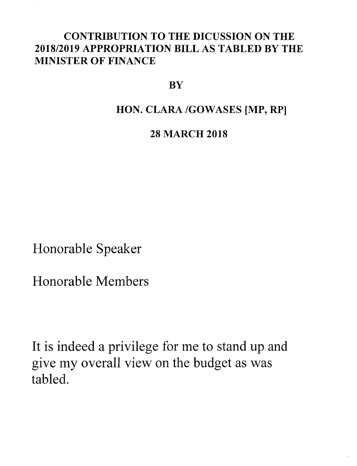## CONTRIBUTION TO THE DICUSSION ON THE *2018/2019* APPROPRIATION BILL AS TABLED BY THE MINISTER OF FINANCE

## **BY**

## HON. CLARA /GOWASES [MP, RP]

## 28 MARCH 2018

Honorable Speaker

Honorable Members

It is indeed a privilege for me to stand up and give my overall view on the budget as was tabled.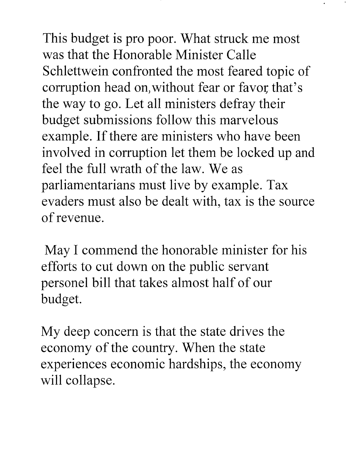This budget is pro poor. What struck me most was that the Honorable Minister Calle Schlettwein confronted the most feared topic of corruption head on,without fear or favor that's the way to go. Let all ministers defray their budget submissions follow this marvelous example. If there are ministers who have been involved in corruption let them be locked up and feel the full wrath of the law. We as parliamentarians must live by example. Tax evaders must also be dealt with, tax is the source of revenue.

May I commend the honorable minister for his efforts to cut down on the public servant personel bill that takes almost half of our budget.

My deep concern is that the state drives the economy of the country. When the state experiences economic hardships, the economy will collapse.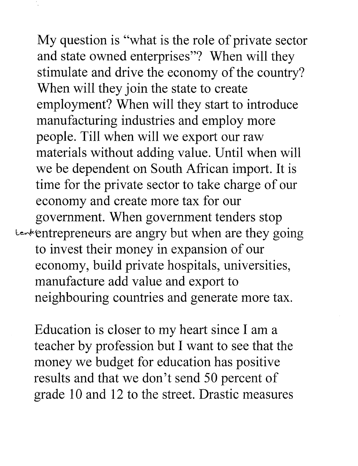My question is "what is the role of private sector and state owned enterprises"? When will they stimulate and drive the economy of the country? When will they join the state to create employment? When will they start to introduce manufacturing industries and employ more people. Till when will we export our raw materials without adding value. Until when will we be dependent on South African import. It is time for the private sector to take charge of our economy and create more tax for our government. When government tenders stop Lenkentrepreneurs are angry but when are they going to invest their money in expansion of our economy, build private hospitals, universities, manufacture add value and export to neighbouring countries and generate more tax.

Education is closer to my heart since I am a teacher by profession but I want to see that the money we budget for education has positive results and that we don't send 50 percent of grade 10 and 12 to the street. Drastic measures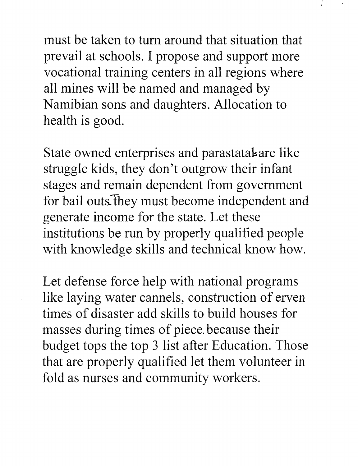must be taken to turn around that situation that prevail at schools. I propose and support more vocational training centers in all regions where all mines will be named and managed by Namibian sons and daughters. Allocation to health is good.

State owned enterprises and parastatal are like struggle kids, they don't outgrow their infant stages and remain dependent from government for bail outs. They must become independent and generate income for the state. Let these institutions be run by properly qualified people with knowledge skills and technical know how.

Let defense force help with national programs like laying water cannels, construction of erven times of disaster add skills to build houses for masses during times of piece. because their budget tops the top 3 list after Education. Those that are properly qualified let them volunteer in fold as nurses and community workers.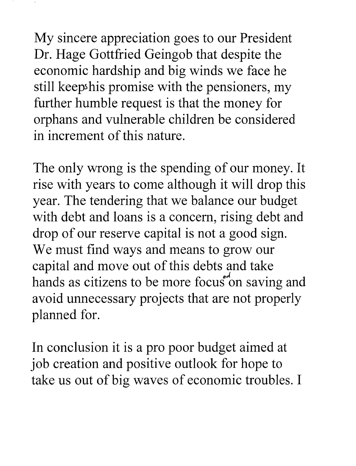My sincere appreciation goes to our President Dr. Hage Gottfried Geingob that despite the economic hardship and big winds we face he still keep his promise with the pensioners, my further humble request is that the money for orphans and vulnerable children be considered in increment of this nature.

The only wrong is the spending of our money. It rise with years to come although it will drop this year. The tendering that we balance our budget with debt and loans is a concern, rising debt and drop of our reserve capital is not a good sign. We must find ways and means to grow our capital and move out of this debts and take hands as citizens to be more focus on saving and avoid unnecessary projects that are not properly planned for.

In conclusion it is a pro poor budget aimed at job creation and positive outlook for hope to take us out of big waves of economic troubles. I